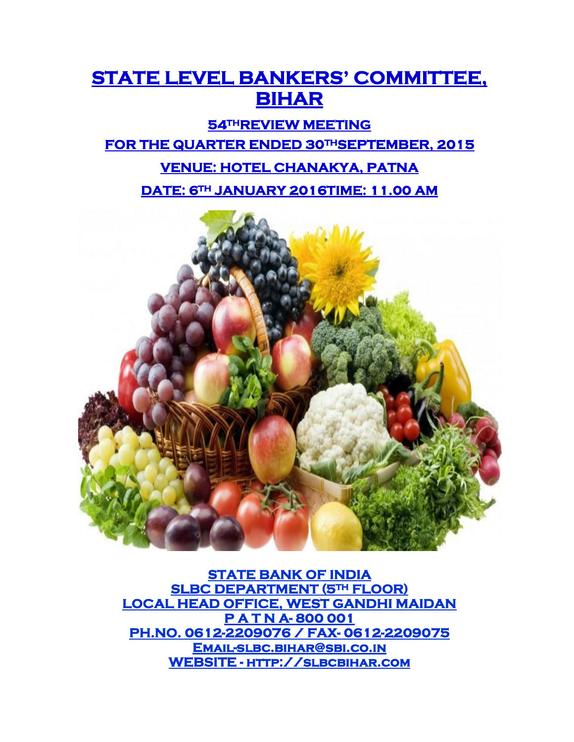# **STATE LEVEL BANKERS' COMMITTEE, BIHAR**

## **54THREVIEW MEETING FOR THE QUARTER ENDED 30THSEPTEMBER, 2015 VENUE: HOTEL CHANAKYA, PATNA**

**DATE: 6TH JANUARY 2016TIME: 11.00 AM** 



**STATE BANK OF INDIA SLBC DEPARTMENT (5TH FLOOR) LOCAL HEAD OFFICE, WEST GANDHI MAIDAN P A T N A- 800 001 PH.NO. 0612-2209076 / FAX- 0612-2209075 [Email-slbc.bihar@sbi.co.in](mailto:Email-slbc.bihar@sbi.co.in)  WEBSITE - [http://slbcbihar.com](http://slbcbihar.com/)**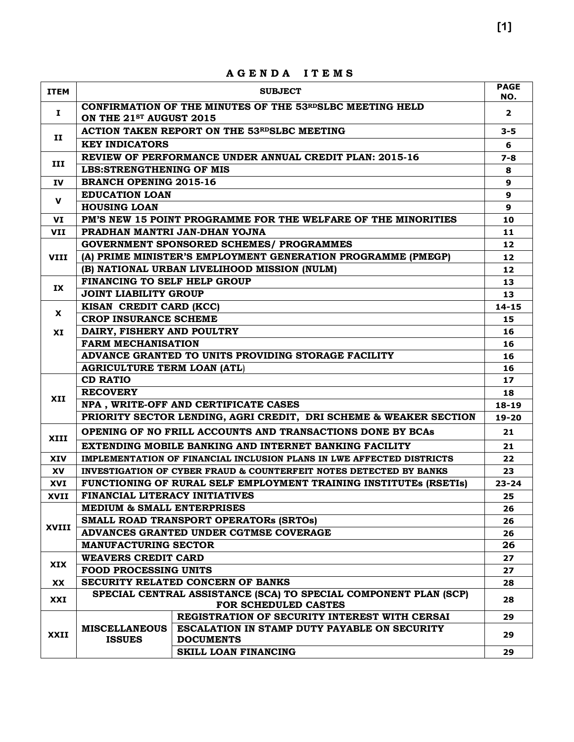|             |                                                            | מעמשמ<br>ט א שנ                                                                                           |                        |  |  |  |  |
|-------------|------------------------------------------------------------|-----------------------------------------------------------------------------------------------------------|------------------------|--|--|--|--|
| <b>ITEM</b> |                                                            | <b>SUBJECT</b>                                                                                            | <b>PAGE</b><br>NO.     |  |  |  |  |
| Ι.          | ON THE 21sr AUGUST 2015                                    | CONFIRMATION OF THE MINUTES OF THE 53RDSLBC MEETING HELD                                                  | $\overline{2}$         |  |  |  |  |
|             |                                                            | <b>ACTION TAKEN REPORT ON THE 53RDSLBC MEETING</b>                                                        | $3 - 5$                |  |  |  |  |
| п           | <b>KEY INDICATORS</b>                                      |                                                                                                           | 6                      |  |  |  |  |
|             | REVIEW OF PERFORMANCE UNDER ANNUAL CREDIT PLAN: 2015-16    |                                                                                                           |                        |  |  |  |  |
| III         | <b>LBS:STRENGTHENING OF MIS</b>                            |                                                                                                           |                        |  |  |  |  |
| IV          | <b>BRANCH OPENING 2015-16</b>                              |                                                                                                           | 9                      |  |  |  |  |
| $\mathbf v$ | <b>EDUCATION LOAN</b>                                      |                                                                                                           | 9                      |  |  |  |  |
|             | <b>HOUSING LOAN</b>                                        |                                                                                                           | 9                      |  |  |  |  |
| VI          |                                                            | PM'S NEW 15 POINT PROGRAMME FOR THE WELFARE OF THE MINORITIES                                             | 10                     |  |  |  |  |
| VII         |                                                            | PRADHAN MANTRI JAN-DHAN YOJNA                                                                             | 11                     |  |  |  |  |
|             |                                                            | <b>GOVERNMENT SPONSORED SCHEMES/ PROGRAMMES</b>                                                           | 12                     |  |  |  |  |
| <b>VIII</b> |                                                            | (A) PRIME MINISTER'S EMPLOYMENT GENERATION PROGRAMME (PMEGP)                                              | $12 \overline{ }$      |  |  |  |  |
|             |                                                            | (B) NATIONAL URBAN LIVELIHOOD MISSION (NULM)                                                              | 12                     |  |  |  |  |
| IX          | FINANCING TO SELF HELP GROUP                               |                                                                                                           | 13                     |  |  |  |  |
|             | <b>JOINT LIABILITY GROUP</b>                               |                                                                                                           | 13                     |  |  |  |  |
| X           | KISAN CREDIT CARD (KCC)                                    |                                                                                                           | $14 - 15$              |  |  |  |  |
|             | <b>CROP INSURANCE SCHEME</b>                               |                                                                                                           | 15<br>16               |  |  |  |  |
| XI          | DAIRY, FISHERY AND POULTRY                                 |                                                                                                           |                        |  |  |  |  |
|             | <b>FARM MECHANISATION</b>                                  |                                                                                                           | 16                     |  |  |  |  |
|             |                                                            | ADVANCE GRANTED TO UNITS PROVIDING STORAGE FACILITY                                                       | 16                     |  |  |  |  |
|             | <b>AGRICULTURE TERM LOAN (ATL)</b>                         |                                                                                                           | 16                     |  |  |  |  |
|             | <b>CD RATIO</b>                                            |                                                                                                           | 17                     |  |  |  |  |
| <b>XII</b>  | <b>RECOVERY</b>                                            |                                                                                                           | 18                     |  |  |  |  |
|             |                                                            | NPA, WRITE-OFF AND CERTIFICATE CASES<br>PRIORITY SECTOR LENDING, AGRI CREDIT, DRI SCHEME & WEAKER SECTION | $18 - 19$<br>$19 - 20$ |  |  |  |  |
|             |                                                            |                                                                                                           |                        |  |  |  |  |
| XIII        |                                                            | OPENING OF NO FRILL ACCOUNTS AND TRANSACTIONS DONE BY BCAS                                                | 21                     |  |  |  |  |
|             |                                                            | EXTENDING MOBILE BANKING AND INTERNET BANKING FACILITY                                                    | 21                     |  |  |  |  |
| <b>XIV</b>  |                                                            | IMPLEMENTATION OF FINANCIAL INCLUSION PLANS IN LWE AFFECTED DISTRICTS                                     | 22                     |  |  |  |  |
| <b>XV</b>   |                                                            | INVESTIGATION OF CYBER FRAUD & COUNTERFEIT NOTES DETECTED BY BANKS                                        | 23                     |  |  |  |  |
| XVI         |                                                            | FUNCTIONING OF RURAL SELF EMPLOYMENT TRAINING INSTITUTES (RSETIS)                                         | $23 - 24$              |  |  |  |  |
| XVII        | FINANCIAL LITERACY INITIATIVES                             |                                                                                                           | 25                     |  |  |  |  |
|             | <b>MEDIUM &amp; SMALL ENTERPRISES</b>                      |                                                                                                           | 26                     |  |  |  |  |
| XVIII       |                                                            | SMALL ROAD TRANSPORT OPERATORS (SRTOS)                                                                    | 26                     |  |  |  |  |
|             | <b>MANUFACTURING SECTOR</b>                                | ADVANCES GRANTED UNDER CGTMSE COVERAGE                                                                    | 26                     |  |  |  |  |
|             |                                                            |                                                                                                           | 26                     |  |  |  |  |
| XIX         | <b>WEAVERS CREDIT CARD</b><br><b>FOOD PROCESSING UNITS</b> |                                                                                                           | 27                     |  |  |  |  |
|             |                                                            | SECURITY RELATED CONCERN OF BANKS                                                                         | 27                     |  |  |  |  |
| <b>XX</b>   |                                                            | SPECIAL CENTRAL ASSISTANCE (SCA) TO SPECIAL COMPONENT PLAN (SCP)                                          | 28                     |  |  |  |  |
| XXI         |                                                            | FOR SCHEDULED CASTES                                                                                      | 28                     |  |  |  |  |
|             |                                                            | REGISTRATION OF SECURITY INTEREST WITH CERSAI                                                             | 29                     |  |  |  |  |
| <b>XXII</b> | <b>MISCELLANEOUS</b>                                       | ESCALATION IN STAMP DUTY PAYABLE ON SECURITY                                                              | 29                     |  |  |  |  |
|             | <b>ISSUES</b>                                              | <b>DOCUMENTS</b><br>SKILL LOAN FINANCING                                                                  |                        |  |  |  |  |
|             |                                                            |                                                                                                           | 29                     |  |  |  |  |

**A G E N D A I T E M S**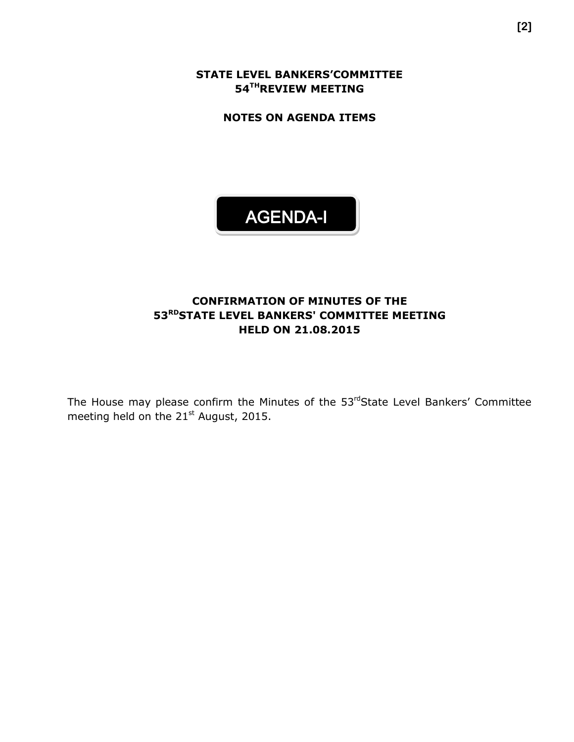**STATE LEVEL BANKERS'COMMITTEE 54 THREVIEW MEETING**

**NOTES ON AGENDA ITEMS**



### **CONFIRMATION OF MINUTES OF THE 53 RDSTATE LEVEL BANKERS' COMMITTEE MEETING HELD ON 21.08.2015**

The House may please confirm the Minutes of the 53rdState Level Bankers' Committee meeting held on the 21<sup>st</sup> August, 2015.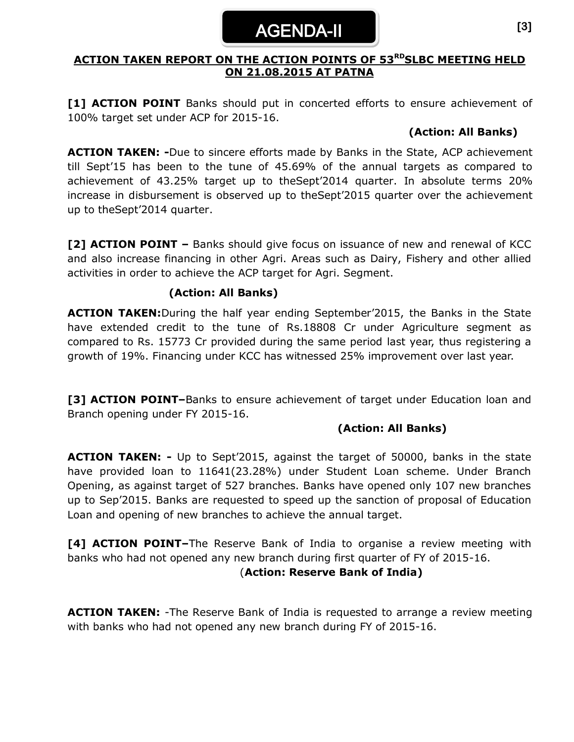## AGENDA-II

#### **ACTION TAKEN REPORT ON THE ACTION POINTS OF 53 RDSLBC MEETING HELD ON 21.08.2015 AT PATNA**

[1] **ACTION POINT** Banks should put in concerted efforts to ensure achievement of 100% target set under ACP for 2015-16.

#### **(Action: All Banks)**

**ACTION TAKEN: -**Due to sincere efforts made by Banks in the State, ACP achievement till Sept'15 has been to the tune of 45.69% of the annual targets as compared to achievement of 43.25% target up to theSept'2014 quarter. In absolute terms 20% increase in disbursement is observed up to theSept'2015 quarter over the achievement up to theSept'2014 quarter.

**[2] ACTION POINT –** Banks should give focus on issuance of new and renewal of KCC and also increase financing in other Agri. Areas such as Dairy, Fishery and other allied activities in order to achieve the ACP target for Agri. Segment.

#### **(Action: All Banks)**

**ACTION TAKEN:**During the half year ending September'2015, the Banks in the State have extended credit to the tune of Rs.18808 Cr under Agriculture segment as compared to Rs. 15773 Cr provided during the same period last year, thus registering a growth of 19%. Financing under KCC has witnessed 25% improvement over last year.

**[3] ACTION POINT–**Banks to ensure achievement of target under Education loan and Branch opening under FY 2015-16.

#### **(Action: All Banks)**

**ACTION TAKEN: -** Up to Sept'2015, against the target of 50000, banks in the state have provided loan to 11641(23.28%) under Student Loan scheme. Under Branch Opening, as against target of 527 branches. Banks have opened only 107 new branches up to Sep'2015. Banks are requested to speed up the sanction of proposal of Education Loan and opening of new branches to achieve the annual target.

**[4] ACTION POINT–**The Reserve Bank of India to organise a review meeting with banks who had not opened any new branch during first quarter of FY of 2015-16.

#### (**Action: Reserve Bank of India)**

**ACTION TAKEN:** -The Reserve Bank of India is requested to arrange a review meeting with banks who had not opened any new branch during FY of 2015-16.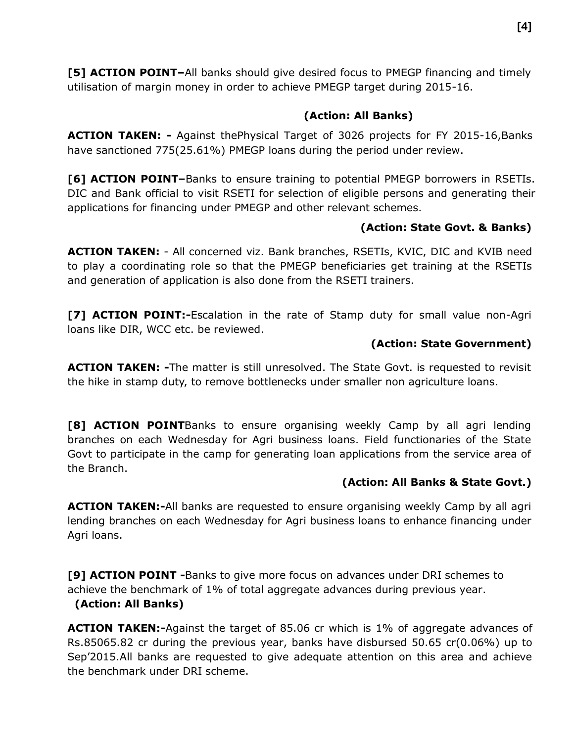**[5] ACTION POINT–**All banks should give desired focus to PMEGP financing and timely utilisation of margin money in order to achieve PMEGP target during 2015-16.

### **(Action: All Banks)**

**ACTION TAKEN: -** Against thePhysical Target of 3026 projects for FY 2015-16,Banks have sanctioned 775(25.61%) PMEGP loans during the period under review.

**[6] ACTION POINT–**Banks to ensure training to potential PMEGP borrowers in RSETIs. DIC and Bank official to visit RSETI for selection of eligible persons and generating their applications for financing under PMEGP and other relevant schemes.

## **(Action: State Govt. & Banks)**

**ACTION TAKEN:** - All concerned viz. Bank branches, RSETIs, KVIC, DIC and KVIB need to play a coordinating role so that the PMEGP beneficiaries get training at the RSETIs and generation of application is also done from the RSETI trainers.

**[7] ACTION POINT:-**Escalation in the rate of Stamp duty for small value non-Agri loans like DIR, WCC etc. be reviewed.

### **(Action: State Government)**

**ACTION TAKEN: -**The matter is still unresolved. The State Govt. is requested to revisit the hike in stamp duty, to remove bottlenecks under smaller non agriculture loans.

**[8] ACTION POINT**Banks to ensure organising weekly Camp by all agri lending branches on each Wednesday for Agri business loans. Field functionaries of the State Govt to participate in the camp for generating loan applications from the service area of the Branch.

## **(Action: All Banks & State Govt.)**

**ACTION TAKEN:-**All banks are requested to ensure organising weekly Camp by all agri lending branches on each Wednesday for Agri business loans to enhance financing under Agri loans.

**[9] ACTION POINT -**Banks to give more focus on advances under DRI schemes to achieve the benchmark of 1% of total aggregate advances during previous year.

#### **(Action: All Banks)**

**ACTION TAKEN:-**Against the target of 85.06 cr which is 1% of aggregate advances of Rs.85065.82 cr during the previous year, banks have disbursed 50.65 cr(0.06%) up to Sep'2015.All banks are requested to give adequate attention on this area and achieve the benchmark under DRI scheme.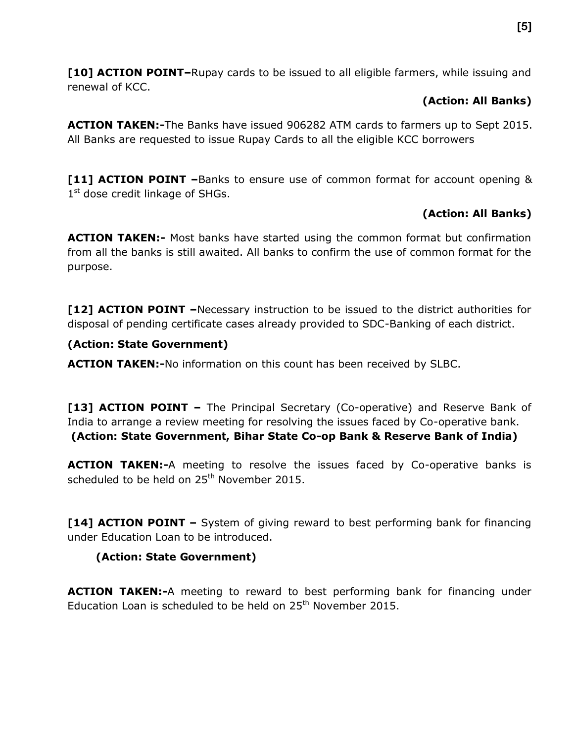**[10] ACTION POINT–**Rupay cards to be issued to all eligible farmers, while issuing and renewal of KCC.

### **(Action: All Banks)**

**ACTION TAKEN:-**The Banks have issued 906282 ATM cards to farmers up to Sept 2015. All Banks are requested to issue Rupay Cards to all the eligible KCC borrowers

**[11] ACTION POINT –**Banks to ensure use of common format for account opening & 1<sup>st</sup> dose credit linkage of SHGs.

## **(Action: All Banks)**

**ACTION TAKEN:-** Most banks have started using the common format but confirmation from all the banks is still awaited. All banks to confirm the use of common format for the purpose.

**[12] ACTION POINT –**Necessary instruction to be issued to the district authorities for disposal of pending certificate cases already provided to SDC-Banking of each district.

## **(Action: State Government)**

**ACTION TAKEN:-**No information on this count has been received by SLBC.

**[13] ACTION POINT** – The Principal Secretary (Co-operative) and Reserve Bank of India to arrange a review meeting for resolving the issues faced by Co-operative bank. **(Action: State Government, Bihar State Co-op Bank & Reserve Bank of India)** 

**ACTION TAKEN:-**A meeting to resolve the issues faced by Co-operative banks is scheduled to be held on 25<sup>th</sup> November 2015.

**[14] ACTION POINT –** System of giving reward to best performing bank for financing under Education Loan to be introduced.

## **(Action: State Government)**

**ACTION TAKEN:-**A meeting to reward to best performing bank for financing under Education Loan is scheduled to be held on  $25<sup>th</sup>$  November 2015.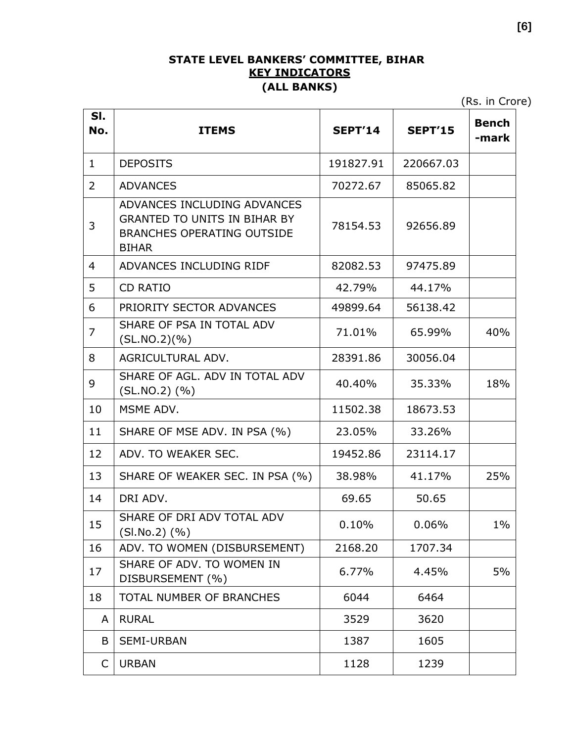### **STATE LEVEL BANKERS' COMMITTEE, BIHAR KEY INDICATORS (ALL BANKS)**

(Rs. in Crore)

| SI.<br>No. | <b>ITEMS</b>                                                                                                            | <b>SEPT'14</b> | <b>SEPT'15</b> | <b>Bench</b><br>-mark |
|------------|-------------------------------------------------------------------------------------------------------------------------|----------------|----------------|-----------------------|
| 1          | <b>DEPOSITS</b>                                                                                                         | 191827.91      | 220667.03      |                       |
| 2          | <b>ADVANCES</b>                                                                                                         | 70272.67       | 85065.82       |                       |
| 3          | ADVANCES INCLUDING ADVANCES<br><b>GRANTED TO UNITS IN BIHAR BY</b><br><b>BRANCHES OPERATING OUTSIDE</b><br><b>BIHAR</b> | 78154.53       | 92656.89       |                       |
| 4          | ADVANCES INCLUDING RIDF                                                                                                 | 82082.53       | 97475.89       |                       |
| 5          | <b>CD RATIO</b>                                                                                                         | 42.79%         | 44.17%         |                       |
| 6          | PRIORITY SECTOR ADVANCES                                                                                                | 49899.64       | 56138.42       |                       |
| 7          | SHARE OF PSA IN TOTAL ADV<br>(SL.NO.2)(%)                                                                               | 71.01%         | 65.99%         | 40%                   |
| 8          | AGRICULTURAL ADV.                                                                                                       | 28391.86       | 30056.04       |                       |
| 9          | SHARE OF AGL. ADV IN TOTAL ADV<br>$(SL.NO.2)$ $(\% )$                                                                   | 40.40%         | 35.33%         | 18%                   |
| 10         | MSME ADV.                                                                                                               | 11502.38       | 18673.53       |                       |
| 11         | SHARE OF MSE ADV. IN PSA (%)                                                                                            | 23.05%         | 33.26%         |                       |
| 12         | ADV. TO WEAKER SEC.                                                                                                     | 19452.86       | 23114.17       |                       |
| 13         | SHARE OF WEAKER SEC. IN PSA (%)                                                                                         | 38.98%         | 41.17%         | 25%                   |
| 14         | DRI ADV.                                                                                                                | 69.65          | 50.65          |                       |
| 15         | SHARE OF DRI ADV TOTAL ADV<br>$(SI.No.2)$ $(\% )$                                                                       | 0.10%          | 0.06%          | $1\%$                 |
| 16         | ADV. TO WOMEN (DISBURSEMENT)                                                                                            | 2168.20        | 1707.34        |                       |
| 17         | SHARE OF ADV. TO WOMEN IN<br>DISBURSEMENT (%)                                                                           | 6.77%          | 4.45%          | 5%                    |
| 18         | TOTAL NUMBER OF BRANCHES                                                                                                | 6044           | 6464           |                       |
| A          | <b>RURAL</b>                                                                                                            | 3529           | 3620           |                       |
| B          | <b>SEMI-URBAN</b>                                                                                                       | 1387           | 1605           |                       |
| C          | <b>URBAN</b>                                                                                                            | 1128           | 1239           |                       |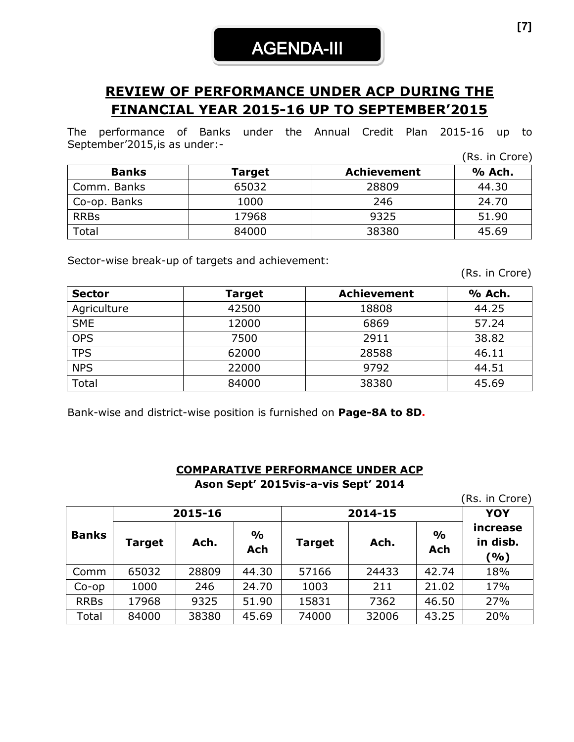# AGENDA-III

## **REVIEW OF PERFORMANCE UNDER ACP DURING THE FINANCIAL YEAR 2015-16 UP TO SEPTEMBER'2015**

The performance of Banks under the Annual Credit Plan 2015-16 up to September'2015,is as under:-

|              |               |                    | (Rs. in Crore) |
|--------------|---------------|--------------------|----------------|
| <b>Banks</b> | <b>Target</b> | <b>Achievement</b> | % Ach.         |
| Comm. Banks  | 65032         | 28809              | 44.30          |
| Co-op. Banks | 1000          | 246                | 24.70          |
| <b>RRBs</b>  | 17968         | 9325               | 51.90          |
| Total        | 84000         | 38380              | 45.69          |

Sector-wise break-up of targets and achievement:

(Rs. in Crore)

| <b>Sector</b> | <b>Target</b> | <b>Achievement</b> | % Ach. |
|---------------|---------------|--------------------|--------|
| Agriculture   | 42500         | 18808              | 44.25  |
| <b>SME</b>    | 12000         | 6869               | 57.24  |
| <b>OPS</b>    | 7500          | 2911               | 38.82  |
| <b>TPS</b>    | 62000         | 28588              | 46.11  |
| <b>NPS</b>    | 22000         | 9792               | 44.51  |
| Total         | 84000         | 38380              | 45.69  |

Bank-wise and district-wise position is furnished on **Page-8A to 8D.**

#### **COMPARATIVE PERFORMANCE UNDER ACP Ason Sept' 2015vis-a-vis Sept' 2014**

(Rs. in Crore)

|              | 2015-16 |       |                             | 2014-15       | <b>YOY</b> |                      |                             |  |
|--------------|---------|-------|-----------------------------|---------------|------------|----------------------|-----------------------------|--|
| <b>Banks</b> | Target  | Ach.  | $\frac{1}{2}$<br><b>Ach</b> | <b>Target</b> | Ach.       | $\frac{1}{2}$<br>Ach | increase<br>in disb.<br>(%) |  |
| Comm         | 65032   | 28809 | 44.30                       | 57166         | 24433      | 42.74                | 18%                         |  |
| $Co$ -op     | 1000    | 246   | 24.70                       | 1003          | 211        | 21.02                | 17%                         |  |
| <b>RRBs</b>  | 17968   | 9325  | 51.90                       | 15831         | 7362       | 46.50                | 27%                         |  |
| Total        | 84000   | 38380 | 45.69                       | 74000         | 32006      | 43.25                | 20%                         |  |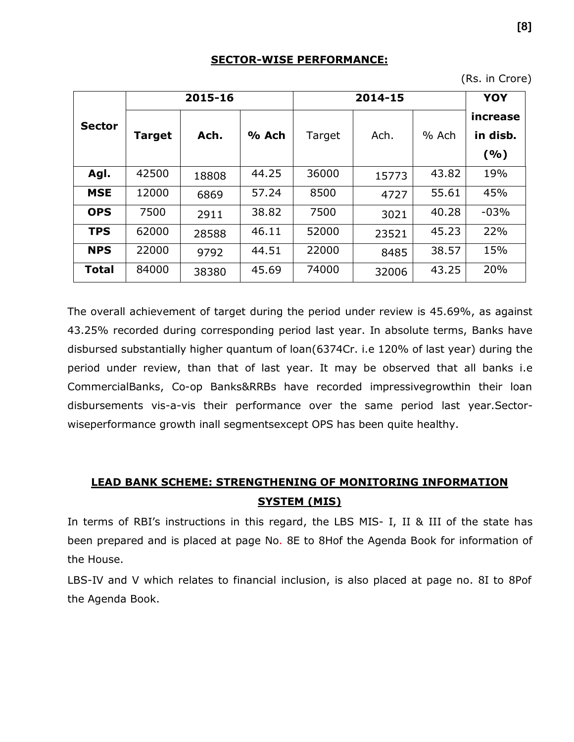#### **SECTOR-WISE PERFORMANCE:**

(Rs. in Crore)

|               |               | 2015-16 |       |        | YOY   |       |                              |
|---------------|---------------|---------|-------|--------|-------|-------|------------------------------|
| <b>Sector</b> | <b>Target</b> | Ach.    | % Ach | Target | Ach.  | % Ach | increase<br>in disb.<br>( %) |
| Agl.          | 42500         | 18808   | 44.25 | 36000  | 15773 | 43.82 | 19%                          |
| <b>MSE</b>    | 12000         | 6869    | 57.24 | 8500   | 4727  | 55.61 | 45%                          |
| <b>OPS</b>    | 7500          | 2911    | 38.82 | 7500   | 3021  | 40.28 | $-03%$                       |
| <b>TPS</b>    | 62000         | 28588   | 46.11 | 52000  | 23521 | 45.23 | 22%                          |
| <b>NPS</b>    | 22000         | 9792    | 44.51 | 22000  | 8485  | 38.57 | 15%                          |
| <b>Total</b>  | 84000         | 38380   | 45.69 | 74000  | 32006 | 43.25 | 20%                          |

The overall achievement of target during the period under review is 45.69%, as against 43.25% recorded during corresponding period last year. In absolute terms, Banks have disbursed substantially higher quantum of loan(6374Cr. i.e 120% of last year) during the period under review, than that of last year. It may be observed that all banks i.e CommercialBanks, Co-op Banks&RRBs have recorded impressivegrowthin their loan disbursements vis-a-vis their performance over the same period last year.Sectorwiseperformance growth inall segmentsexcept OPS has been quite healthy.

## **LEAD BANK SCHEME: STRENGTHENING OF MONITORING INFORMATION SYSTEM (MIS)**

In terms of RBI's instructions in this regard, the LBS MIS- I, II & III of the state has been prepared and is placed at page No. 8E to 8Hof the Agenda Book for information of the House.

LBS-IV and V which relates to financial inclusion, is also placed at page no. 8I to 8Pof the Agenda Book.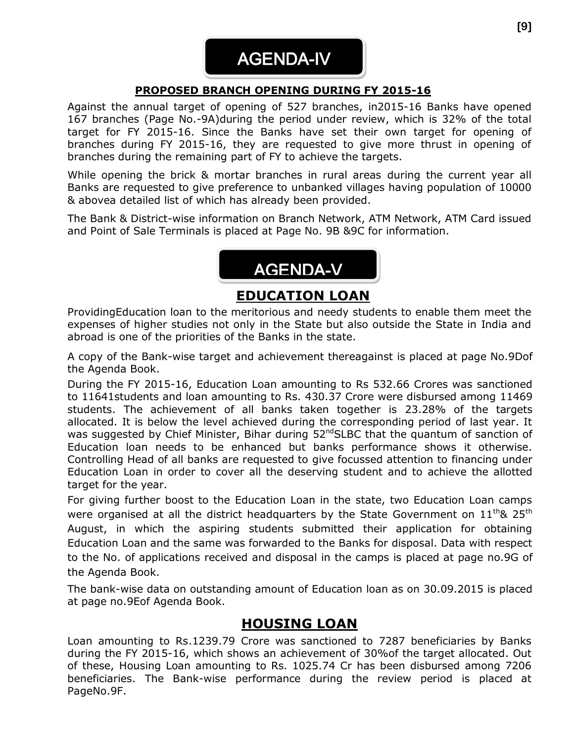# AGENDA-IV

### **PROPOSED BRANCH OPENING DURING FY 2015-16**

Against the annual target of opening of 527 branches, in2015-16 Banks have opened 167 branches (Page No.-9A)during the period under review, which is 32% of the total target for FY 2015-16. Since the Banks have set their own target for opening of branches during FY 2015-16, they are requested to give more thrust in opening of branches during the remaining part of FY to achieve the targets.

While opening the brick & mortar branches in rural areas during the current year all Banks are requested to give preference to unbanked villages having population of 10000 & abovea detailed list of which has already been provided.

The Bank & District-wise information on Branch Network, ATM Network, ATM Card issued and Point of Sale Terminals is placed at Page No. 9B &9C for information.



## **EDUCATION LOAN**

ProvidingEducation loan to the meritorious and needy students to enable them meet the expenses of higher studies not only in the State but also outside the State in India and abroad is one of the priorities of the Banks in the state.

A copy of the Bank-wise target and achievement thereagainst is placed at page No.9Dof the Agenda Book.

During the FY 2015-16, Education Loan amounting to Rs 532.66 Crores was sanctioned to 11641students and loan amounting to Rs. 430.37 Crore were disbursed among 11469 students. The achievement of all banks taken together is 23.28% of the targets allocated. It is below the level achieved during the corresponding period of last year. It was suggested by Chief Minister, Bihar during 52<sup>nd</sup>SLBC that the quantum of sanction of Education loan needs to be enhanced but banks performance shows it otherwise. Controlling Head of all banks are requested to give focussed attention to financing under Education Loan in order to cover all the deserving student and to achieve the allotted target for the year.

For giving further boost to the Education Loan in the state, two Education Loan camps were organised at all the district headquarters by the State Government on  $11^{\text{th}}$ & 25<sup>th</sup> August, in which the aspiring students submitted their application for obtaining Education Loan and the same was forwarded to the Banks for disposal. Data with respect to the No. of applications received and disposal in the camps is placed at page no.9G of the Agenda Book.

The bank-wise data on outstanding amount of Education loan as on 30.09.2015 is placed at page no.9Eof Agenda Book.

## **HOUSING LOAN**

Loan amounting to Rs.1239.79 Crore was sanctioned to 7287 beneficiaries by Banks during the FY 2015-16, which shows an achievement of 30%of the target allocated. Out of these, Housing Loan amounting to Rs. 1025.74 Cr has been disbursed among 7206 beneficiaries. The Bank-wise performance during the review period is placed at PageNo.9F.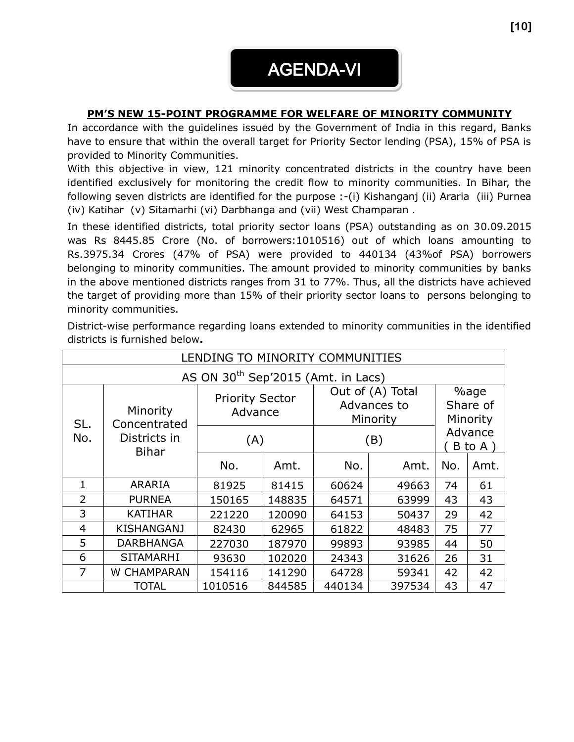# AGENDA-VI

#### **PM'S NEW 15-POINT PROGRAMME FOR WELFARE OF MINORITY COMMUNITY**

In accordance with the guidelines issued by the Government of India in this regard, Banks have to ensure that within the overall target for Priority Sector lending (PSA), 15% of PSA is provided to Minority Communities.

With this objective in view, 121 minority concentrated districts in the country have been identified exclusively for monitoring the credit flow to minority communities. In Bihar, the following seven districts are identified for the purpose :-(i) Kishanganj (ii) Araria (iii) Purnea (iv) Katihar (v) Sitamarhi (vi) Darbhanga and (vii) West Champaran .

In these identified districts, total priority sector loans (PSA) outstanding as on 30.09.2015 was Rs 8445.85 Crore (No. of borrowers:1010516) out of which loans amounting to Rs.3975.34 Crores (47% of PSA) were provided to 440134 (43%of PSA) borrowers belonging to minority communities. The amount provided to minority communities by banks in the above mentioned districts ranges from 31 to 77%. Thus, all the districts have achieved the target of providing more than 15% of their priority sector loans to persons belonging to minority communities.

| LENDING TO MINORITY COMMUNITIES |                                                |                                   |        |                                             |        |                                      |      |  |  |
|---------------------------------|------------------------------------------------|-----------------------------------|--------|---------------------------------------------|--------|--------------------------------------|------|--|--|
|                                 | AS ON 30 <sup>th</sup> Sep'2015 (Amt. in Lacs) |                                   |        |                                             |        |                                      |      |  |  |
| SL.                             | Minority<br>Concentrated                       | <b>Priority Sector</b><br>Advance |        | Out of (A) Total<br>Advances to<br>Minority |        | %age<br>Share of<br>Minority         |      |  |  |
| No.                             | Districts in<br><b>Bihar</b>                   | (A)                               |        | (B)                                         |        | Advance<br>$B$ to $A$ $\overline{)}$ |      |  |  |
|                                 |                                                | No.                               | Amt.   | No.                                         | Amt.   | No.                                  | Amt. |  |  |
| 1                               | <b>ARARIA</b>                                  | 81925                             | 81415  | 60624                                       | 49663  | 74                                   | 61   |  |  |
| $\overline{2}$                  | <b>PURNEA</b>                                  | 150165                            | 148835 | 64571                                       | 63999  | 43                                   | 43   |  |  |
| 3                               | <b>KATIHAR</b>                                 | 221220                            | 120090 | 64153                                       | 50437  | 29                                   | 42   |  |  |
| $\overline{4}$                  | <b>KISHANGANJ</b>                              | 82430                             | 62965  | 61822                                       | 48483  | 75                                   | 77   |  |  |
| 5                               | <b>DARBHANGA</b>                               | 227030                            | 187970 | 99893                                       | 93985  | 44                                   | 50   |  |  |
| 6                               | <b>SITAMARHI</b>                               | 93630                             | 102020 | 24343                                       | 31626  | 26                                   | 31   |  |  |
| 7                               | W CHAMPARAN                                    | 154116                            | 141290 | 64728                                       | 59341  | 42                                   | 42   |  |  |
|                                 | <b>TOTAL</b>                                   | 1010516                           | 844585 | 440134                                      | 397534 | 43                                   | 47   |  |  |

District-wise performance regarding loans extended to minority communities in the identified districts is furnished below**.**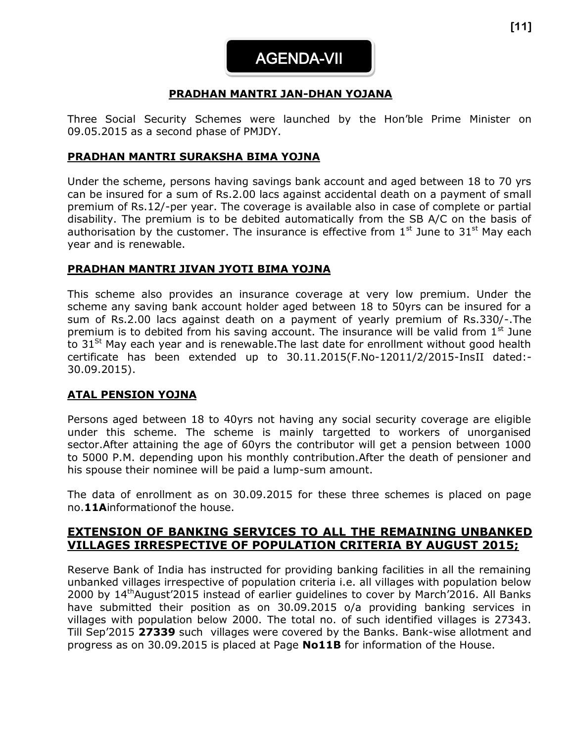#### **PRADHAN MANTRI JAN-DHAN YOJANA**

Three Social Security Schemes were launched by the Hon'ble Prime Minister on 09.05.2015 as a second phase of PMJDY.

#### **PRADHAN MANTRI SURAKSHA BIMA YOJNA**

Under the scheme, persons having savings bank account and aged between 18 to 70 yrs can be insured for a sum of Rs.2.00 lacs against accidental death on a payment of small premium of Rs.12/-per year. The coverage is available also in case of complete or partial disability. The premium is to be debited automatically from the SB A/C on the basis of authorisation by the customer. The insurance is effective from  $1<sup>st</sup>$  June to  $31<sup>st</sup>$  May each year and is renewable.

#### **PRADHAN MANTRI JIVAN JYOTI BIMA YOJNA**

This scheme also provides an insurance coverage at very low premium. Under the scheme any saving bank account holder aged between 18 to 50yrs can be insured for a sum of Rs.2.00 lacs against death on a payment of yearly premium of Rs.330/-.The premium is to debited from his saving account. The insurance will be valid from  $1<sup>st</sup>$  June to  $31^{St}$  May each year and is renewable. The last date for enrollment without good health certificate has been extended up to 30.11.2015(F.No-12011/2/2015-InsII dated:- 30.09.2015).

#### **ATAL PENSION YOJNA**

Persons aged between 18 to 40yrs not having any social security coverage are eligible under this scheme. The scheme is mainly targetted to workers of unorganised sector.After attaining the age of 60yrs the contributor will get a pension between 1000 to 5000 P.M. depending upon his monthly contribution.After the death of pensioner and his spouse their nominee will be paid a lump-sum amount.

The data of enrollment as on 30.09.2015 for these three schemes is placed on page no.**11A**informationof the house.

#### **EXTENSION OF BANKING SERVICES TO ALL THE REMAINING UNBANKED VILLAGES IRRESPECTIVE OF POPULATION CRITERIA BY AUGUST 2015;**

Reserve Bank of India has instructed for providing banking facilities in all the remaining unbanked villages irrespective of population criteria i.e. all villages with population below 2000 by 14<sup>th</sup>August'2015 instead of earlier guidelines to cover by March'2016. All Banks have submitted their position as on 30.09.2015 o/a providing banking services in villages with population below 2000. The total no. of such identified villages is 27343. Till Sep'2015 **27339** such villages were covered by the Banks. Bank-wise allotment and progress as on 30.09.2015 is placed at Page **No11B** for information of the House.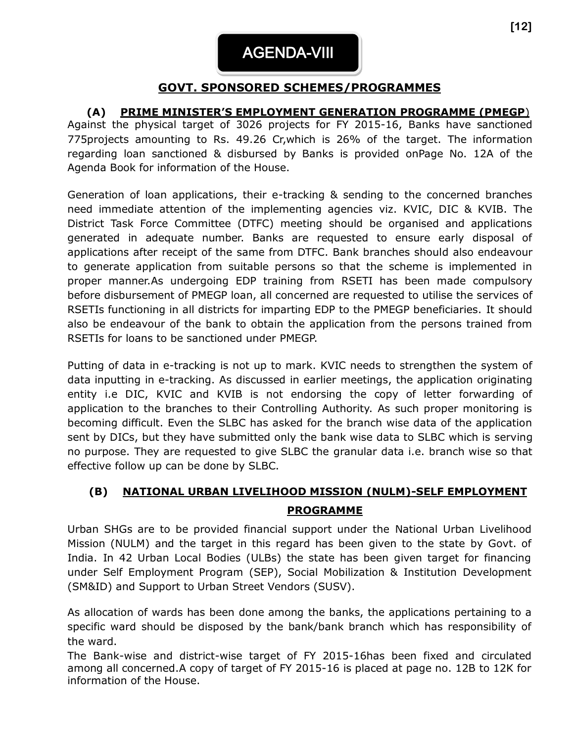## **GOVT. SPONSORED SCHEMES/PROGRAMMES**

### **(A) PRIME MINISTER'S EMPLOYMENT GENERATION PROGRAMME (PMEGP**)

Against the physical target of 3026 projects for FY 2015-16, Banks have sanctioned 775projects amounting to Rs. 49.26 Cr,which is 26% of the target. The information regarding loan sanctioned & disbursed by Banks is provided onPage No. 12A of the Agenda Book for information of the House.

Generation of loan applications, their e-tracking & sending to the concerned branches need immediate attention of the implementing agencies viz. KVIC, DIC & KVIB. The District Task Force Committee (DTFC) meeting should be organised and applications generated in adequate number. Banks are requested to ensure early disposal of applications after receipt of the same from DTFC. Bank branches should also endeavour to generate application from suitable persons so that the scheme is implemented in proper manner.As undergoing EDP training from RSETI has been made compulsory before disbursement of PMEGP loan, all concerned are requested to utilise the services of RSETIs functioning in all districts for imparting EDP to the PMEGP beneficiaries. It should also be endeavour of the bank to obtain the application from the persons trained from RSETIs for loans to be sanctioned under PMEGP.

Putting of data in e-tracking is not up to mark. KVIC needs to strengthen the system of data inputting in e-tracking. As discussed in earlier meetings, the application originating entity i.e DIC, KVIC and KVIB is not endorsing the copy of letter forwarding of application to the branches to their Controlling Authority. As such proper monitoring is becoming difficult. Even the SLBC has asked for the branch wise data of the application sent by DICs, but they have submitted only the bank wise data to SLBC which is serving no purpose. They are requested to give SLBC the granular data i.e. branch wise so that effective follow up can be done by SLBC.

## **(B) NATIONAL URBAN LIVELIHOOD MISSION (NULM)-SELF EMPLOYMENT PROGRAMME**

Urban SHGs are to be provided financial support under the National Urban Livelihood Mission (NULM) and the target in this regard has been given to the state by Govt. of India. In 42 Urban Local Bodies (ULBs) the state has been given target for financing under Self Employment Program (SEP), Social Mobilization & Institution Development (SM&ID) and Support to Urban Street Vendors (SUSV).

As allocation of wards has been done among the banks, the applications pertaining to a specific ward should be disposed by the bank/bank branch which has responsibility of the ward.

The Bank-wise and district-wise target of FY 2015-16has been fixed and circulated among all concerned.A copy of target of FY 2015-16 is placed at page no. 12B to 12K for information of the House.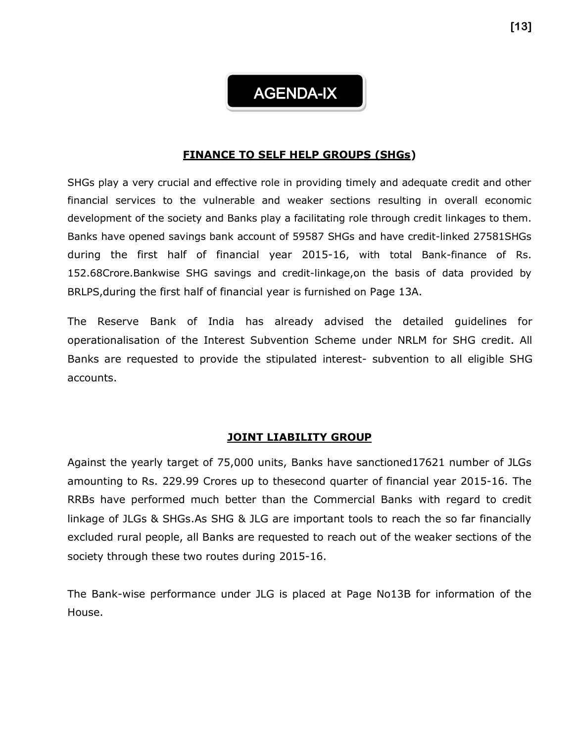## AGENDA-IX

#### **FINANCE TO SELF HELP GROUPS (SHGs)**

SHGs play a very crucial and effective role in providing timely and adequate credit and other financial services to the vulnerable and weaker sections resulting in overall economic development of the society and Banks play a facilitating role through credit linkages to them. Banks have opened savings bank account of 59587 SHGs and have credit-linked 27581SHGs during the first half of financial year 2015-16, with total Bank-finance of Rs. 152.68Crore.Bankwise SHG savings and credit-linkage,on the basis of data provided by BRLPS,during the first half of financial year is furnished on Page 13A.

The Reserve Bank of India has already advised the detailed guidelines for operationalisation of the Interest Subvention Scheme under NRLM for SHG credit. All Banks are requested to provide the stipulated interest- subvention to all eligible SHG accounts.

#### **JOINT LIABILITY GROUP**

Against the yearly target of 75,000 units, Banks have sanctioned17621 number of JLGs amounting to Rs. 229.99 Crores up to thesecond quarter of financial year 2015-16. The RRBs have performed much better than the Commercial Banks with regard to credit linkage of JLGs & SHGs.As SHG & JLG are important tools to reach the so far financially excluded rural people, all Banks are requested to reach out of the weaker sections of the society through these two routes during 2015-16.

The Bank-wise performance under JLG is placed at Page No13B for information of the House.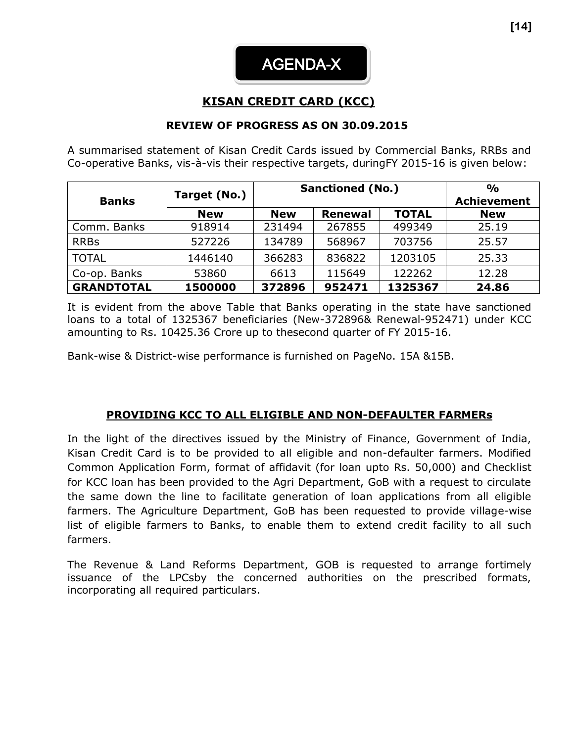## **KISAN CREDIT CARD (KCC)**

#### **REVIEW OF PROGRESS AS ON 30.09.2015**

A summarised statement of Kisan Credit Cards issued by Commercial Banks, RRBs and Co-operative Banks, vis-à-vis their respective targets, duringFY 2015-16 is given below:

|                   |              |            | <b>Sanctioned (No.)</b> | $\frac{O}{O}$ |       |
|-------------------|--------------|------------|-------------------------|---------------|-------|
| <b>Banks</b>      | Target (No.) |            | <b>Achievement</b>      |               |       |
|                   | <b>New</b>   | <b>New</b> | <b>New</b>              |               |       |
| Comm. Banks       | 918914       | 231494     | 267855                  | 499349        | 25.19 |
| <b>RRBs</b>       | 527226       | 134789     | 568967                  | 703756        | 25.57 |
| <b>TOTAL</b>      | 1446140      | 366283     | 836822                  | 1203105       | 25.33 |
| Co-op. Banks      | 53860        | 6613       | 115649                  | 122262        | 12.28 |
| <b>GRANDTOTAL</b> | 1500000      | 372896     | 952471                  | 1325367       | 24.86 |

It is evident from the above Table that Banks operating in the state have sanctioned loans to a total of 1325367 beneficiaries (New-372896& Renewal-952471) under KCC amounting to Rs. 10425.36 Crore up to thesecond quarter of FY 2015-16.

Bank-wise & District-wise performance is furnished on PageNo. 15A &15B.

#### **PROVIDING KCC TO ALL ELIGIBLE AND NON-DEFAULTER FARMERs**

In the light of the directives issued by the Ministry of Finance, Government of India, Kisan Credit Card is to be provided to all eligible and non-defaulter farmers. Modified Common Application Form, format of affidavit (for loan upto Rs. 50,000) and Checklist for KCC loan has been provided to the Agri Department, GoB with a request to circulate the same down the line to facilitate generation of loan applications from all eligible farmers. The Agriculture Department, GoB has been requested to provide village-wise list of eligible farmers to Banks, to enable them to extend credit facility to all such farmers.

The Revenue & Land Reforms Department, GOB is requested to arrange fortimely issuance of the LPCsby the concerned authorities on the prescribed formats, incorporating all required particulars.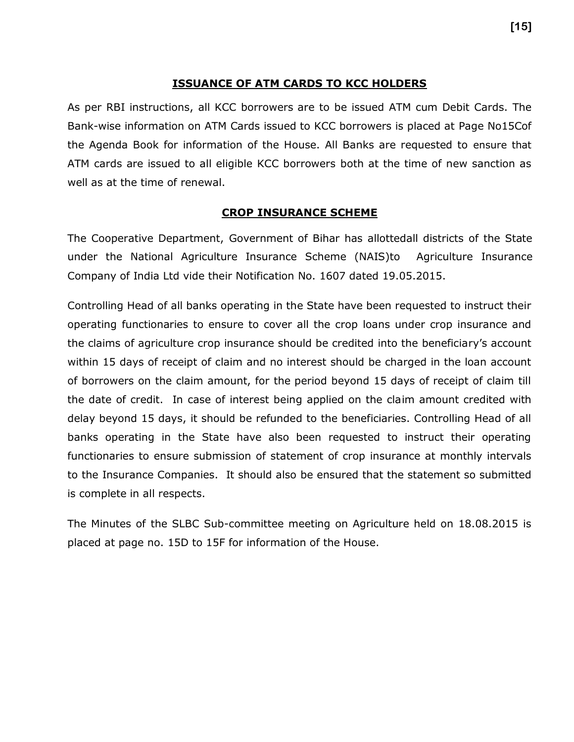#### **ISSUANCE OF ATM CARDS TO KCC HOLDERS**

As per RBI instructions, all KCC borrowers are to be issued ATM cum Debit Cards. The Bank-wise information on ATM Cards issued to KCC borrowers is placed at Page No15Cof the Agenda Book for information of the House. All Banks are requested to ensure that ATM cards are issued to all eligible KCC borrowers both at the time of new sanction as well as at the time of renewal.

#### **CROP INSURANCE SCHEME**

The Cooperative Department, Government of Bihar has allottedall districts of the State under the National Agriculture Insurance Scheme (NAIS)to Agriculture Insurance Company of India Ltd vide their Notification No. 1607 dated 19.05.2015.

Controlling Head of all banks operating in the State have been requested to instruct their operating functionaries to ensure to cover all the crop loans under crop insurance and the claims of agriculture crop insurance should be credited into the beneficiary's account within 15 days of receipt of claim and no interest should be charged in the loan account of borrowers on the claim amount, for the period beyond 15 days of receipt of claim till the date of credit. In case of interest being applied on the claim amount credited with delay beyond 15 days, it should be refunded to the beneficiaries. Controlling Head of all banks operating in the State have also been requested to instruct their operating functionaries to ensure submission of statement of crop insurance at monthly intervals to the Insurance Companies. It should also be ensured that the statement so submitted is complete in all respects.

The Minutes of the SLBC Sub-committee meeting on Agriculture held on 18.08.2015 is placed at page no. 15D to 15F for information of the House.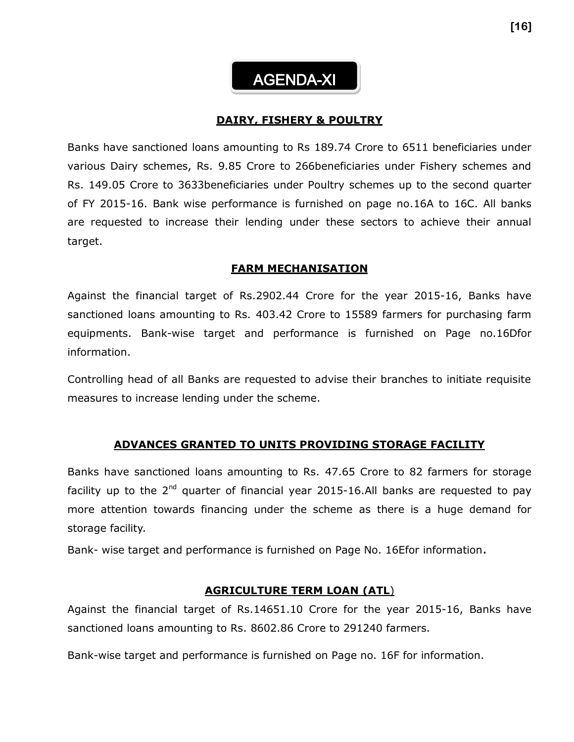AGENDA-XI

#### **DAIRY, FISHERY & POULTRY**

Banks have sanctioned loans amounting to Rs 189.74 Crore to 6511 beneficiaries under various Dairy schemes, Rs. 9.85 Crore to 266beneficiaries under Fishery schemes and Rs. 149.05 Crore to 3633beneficiaries under Poultry schemes up to the second quarter of FY 2015-16. Bank wise performance is furnished on page no.16A to 16C. All banks are requested to increase their lending under these sectors to achieve their annual target.

#### **FARM MECHANISATION**

Against the financial target of Rs.2902.44 Crore for the year 2015-16, Banks have sanctioned loans amounting to Rs. 403.42 Crore to 15589 farmers for purchasing farm equipments. Bank-wise target and performance is furnished on Page no.16Dfor information.

Controlling head of all Banks are requested to advise their branches to initiate requisite measures to increase lending under the scheme.

#### **ADVANCES GRANTED TO UNITS PROVIDING STORAGE FACILITY**

Banks have sanctioned loans amounting to Rs. 47.65 Crore to 82 farmers for storage facility up to the  $2^{nd}$  quarter of financial year 2015-16.All banks are requested to pay more attention towards financing under the scheme as there is a huge demand for storage facility.

Bank- wise target and performance is furnished on Page No. 16Efor information.

#### **AGRICULTURE TERM LOAN (ATL**)

Against the financial target of Rs.14651.10 Crore for the year 2015-16, Banks have sanctioned loans amounting to Rs. 8602.86 Crore to 291240 farmers.

Bank-wise target and performance is furnished on Page no. 16F for information.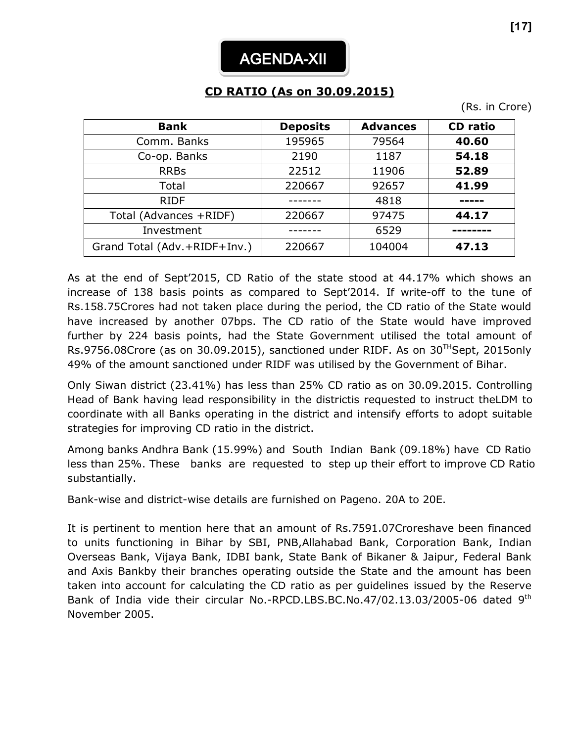# **CD RATIO (As on 30.09.2015)**

(Rs. in Crore)

| <b>Bank</b>                  | <b>Deposits</b> | <b>Advances</b> | <b>CD</b> ratio |
|------------------------------|-----------------|-----------------|-----------------|
| Comm. Banks                  | 195965          | 79564           | 40.60           |
| Co-op. Banks                 | 2190            | 1187            | 54.18           |
| <b>RRBs</b>                  | 22512           | 11906           | 52.89           |
| Total                        | 220667          | 92657           | 41.99           |
| <b>RIDF</b>                  |                 | 4818            |                 |
| Total (Advances +RIDF)       | 220667          | 97475           | 44.17           |
| Investment                   |                 | 6529            |                 |
| Grand Total (Adv.+RIDF+Inv.) | 220667          | 104004          | 47.13           |

As at the end of Sept'2015, CD Ratio of the state stood at 44.17% which shows an increase of 138 basis points as compared to Sept'2014. If write-off to the tune of Rs.158.75Crores had not taken place during the period, the CD ratio of the State would have increased by another 07bps. The CD ratio of the State would have improved further by 224 basis points, had the State Government utilised the total amount of Rs.9756.08Crore (as on 30.09.2015), sanctioned under RIDF. As on 30<sup>TH</sup>Sept, 2015only 49% of the amount sanctioned under RIDF was utilised by the Government of Bihar.

Only Siwan district (23.41%) has less than 25% CD ratio as on 30.09.2015. Controlling Head of Bank having lead responsibility in the districtis requested to instruct theLDM to coordinate with all Banks operating in the district and intensify efforts to adopt suitable strategies for improving CD ratio in the district.

Among banks Andhra Bank (15.99%) and South Indian Bank (09.18%) have CD Ratio less than 25%. These banks are requested to step up their effort to improve CD Ratio substantially.

Bank-wise and district-wise details are furnished on Pageno. 20A to 20E.

It is pertinent to mention here that an amount of Rs.7591.07Croreshave been financed to units functioning in Bihar by SBI, PNB,Allahabad Bank, Corporation Bank, Indian Overseas Bank, Vijaya Bank, IDBI bank, State Bank of Bikaner & Jaipur, Federal Bank and Axis Bankby their branches operating outside the State and the amount has been taken into account for calculating the CD ratio as per guidelines issued by the Reserve Bank of India vide their circular No.-RPCD.LBS.BC.No.47/02.13.03/2005-06 dated 9<sup>th</sup> November 2005.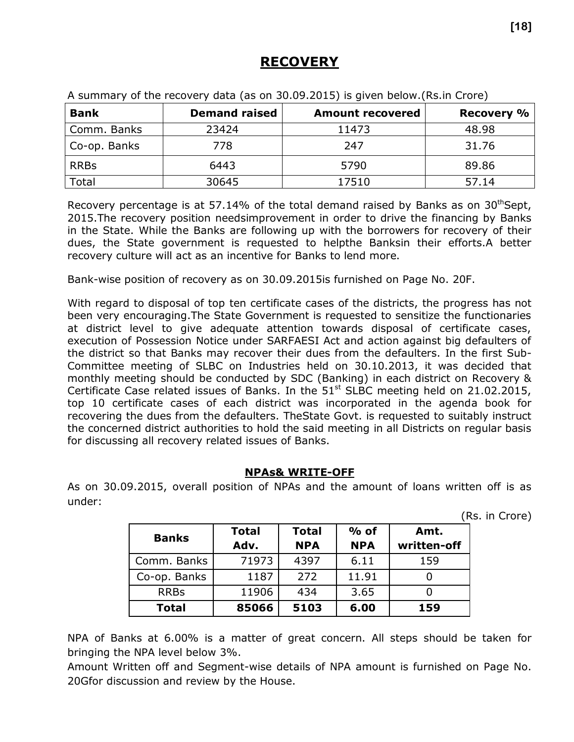## **RECOVERY**

| <b>Bank</b>  | <b>Demand raised</b> | <b>Amount recovered</b> | <b>Recovery %</b> |
|--------------|----------------------|-------------------------|-------------------|
| Comm. Banks  | 23424                | 11473                   | 48.98             |
| Co-op. Banks | 778                  | 247                     | 31.76             |
| <b>RRBs</b>  | 6443                 | 5790                    | 89.86             |
| Total        | 30645                | 17510                   | 57.14             |

A summary of the recovery data (as on 30.09.2015) is given below.(Rs.in Crore)

Recovery percentage is at 57.14% of the total demand raised by Banks as on  $30<sup>th</sup>$ Sept, 2015.The recovery position needsimprovement in order to drive the financing by Banks in the State. While the Banks are following up with the borrowers for recovery of their dues, the State government is requested to helpthe Banksin their efforts.A better recovery culture will act as an incentive for Banks to lend more.

Bank-wise position of recovery as on 30.09.2015is furnished on Page No. 20F.

With regard to disposal of top ten certificate cases of the districts, the progress has not been very encouraging.The State Government is requested to sensitize the functionaries at district level to give adequate attention towards disposal of certificate cases, execution of Possession Notice under SARFAESI Act and action against big defaulters of the district so that Banks may recover their dues from the defaulters. In the first Sub-Committee meeting of SLBC on Industries held on 30.10.2013, it was decided that monthly meeting should be conducted by SDC (Banking) in each district on Recovery & Certificate Case related issues of Banks. In the  $51<sup>st</sup>$  SLBC meeting held on 21.02.2015, top 10 certificate cases of each district was incorporated in the agenda book for recovering the dues from the defaulters. TheState Govt. is requested to suitably instruct the concerned district authorities to hold the said meeting in all Districts on regular basis for discussing all recovery related issues of Banks.

#### **NPAs& WRITE-OFF**

As on 30.09.2015, overall position of NPAs and the amount of loans written off is as under:

(Rs. in Crore)

|              | <b>Total</b> | <b>Total</b> | $%$ of     | Amt.        |
|--------------|--------------|--------------|------------|-------------|
| <b>Banks</b> | Adv.         | <b>NPA</b>   | <b>NPA</b> | written-off |
| Comm. Banks  | 71973        | 4397         | 6.11       | 159         |
| Co-op. Banks | 1187         | 272          | 11.91      |             |
| <b>RRBs</b>  | 11906        | 434          | 3.65       |             |
| <b>Total</b> | 85066        | 5103         | 6.00       | 159         |

NPA of Banks at 6.00% is a matter of great concern. All steps should be taken for bringing the NPA level below 3%.

Amount Written off and Segment-wise details of NPA amount is furnished on Page No. 20Gfor discussion and review by the House.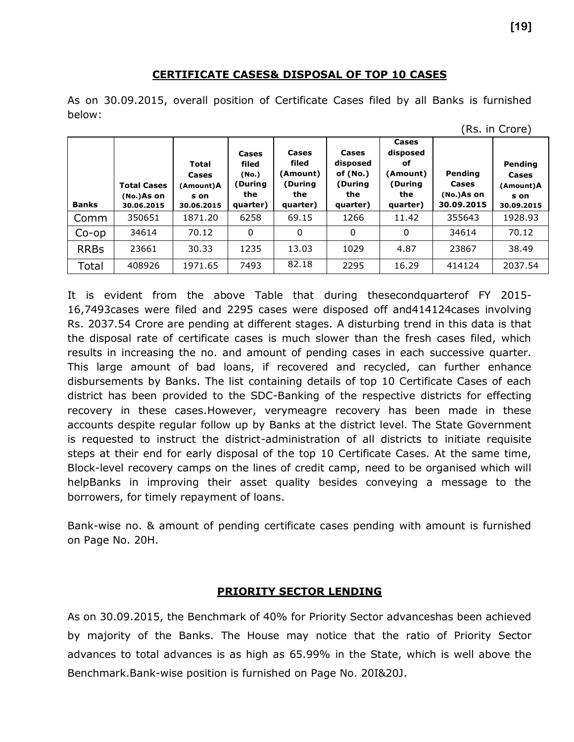#### **CERTIFICATE CASES& DISPOSAL OF TOP 10 CASES**

As on 30.09.2015, overall position of Certificate Cases filed by all Banks is furnished below:

| <b>Banks</b> | <b>Total Cases</b><br>$No.$ )As on<br>30.06.2015 | Total<br><b>Cases</b><br>(Amount)A<br>s on<br>30.06.2015 | Cases<br>filed<br>(No.)<br>During)<br>the<br>quarter) | <b>Cases</b><br>filed<br>(Amount)<br>(During<br>the<br>quarter) | Cases<br>disposed<br>of $(No.)$<br>(During<br>the<br>quarter) | Cases<br>disposed<br>оf<br>(Amount)<br>(During<br>the<br>quarter) | Pending<br>Cases<br>$No.$ )As on<br>30.09.2015 | Pending<br>Cases<br>(Amount)A<br>s on<br>30.09.2015 |
|--------------|--------------------------------------------------|----------------------------------------------------------|-------------------------------------------------------|-----------------------------------------------------------------|---------------------------------------------------------------|-------------------------------------------------------------------|------------------------------------------------|-----------------------------------------------------|
| Comm         | 350651                                           | 1871.20                                                  | 6258                                                  | 69.15                                                           | 1266                                                          | 11.42                                                             | 355643                                         | 1928.93                                             |
| $Co$ -op     | 34614                                            | 70.12                                                    | 0                                                     | 0                                                               | $\mathbf{0}$                                                  | 0                                                                 | 34614                                          | 70.12                                               |
| <b>RRBs</b>  | 23661                                            | 30.33                                                    | 1235                                                  | 13.03                                                           | 1029                                                          | 4.87                                                              | 23867                                          | 38.49                                               |
| Total        | 408926                                           | 1971.65                                                  | 7493                                                  | 82.18                                                           | 2295                                                          | 16.29                                                             | 414124                                         | 2037.54                                             |

It is evident from the above Table that during thesecondquarterof FY 2015- 16,7493cases were filed and 2295 cases were disposed off and414124cases involving Rs. 2037.54 Crore are pending at different stages. A disturbing trend in this data is that the disposal rate of certificate cases is much slower than the fresh cases filed, which results in increasing the no. and amount of pending cases in each successive quarter. This large amount of bad loans, if recovered and recycled, can further enhance disbursements by Banks. The list containing details of top 10 Certificate Cases of each district has been provided to the SDC-Banking of the respective districts for effecting recovery in these cases.However, verymeagre recovery has been made in these accounts despite regular follow up by Banks at the district level. The State Government is requested to instruct the district-administration of all districts to initiate requisite steps at their end for early disposal of the top 10 Certificate Cases. At the same time, Block-level recovery camps on the lines of credit camp, need to be organised which will helpBanks in improving their asset quality besides conveying a message to the borrowers, for timely repayment of loans.

Bank-wise no. & amount of pending certificate cases pending with amount is furnished on Page No. 20H.

#### **PRIORITY SECTOR LENDING**

As on 30.09.2015, the Benchmark of 40% for Priority Sector advanceshas been achieved by majority of the Banks. The House may notice that the ratio of Priority Sector advances to total advances is as high as 65.99% in the State, which is well above the Benchmark.Bank-wise position is furnished on Page No. 20I&20J.

<sup>(</sup>Rs. in Crore)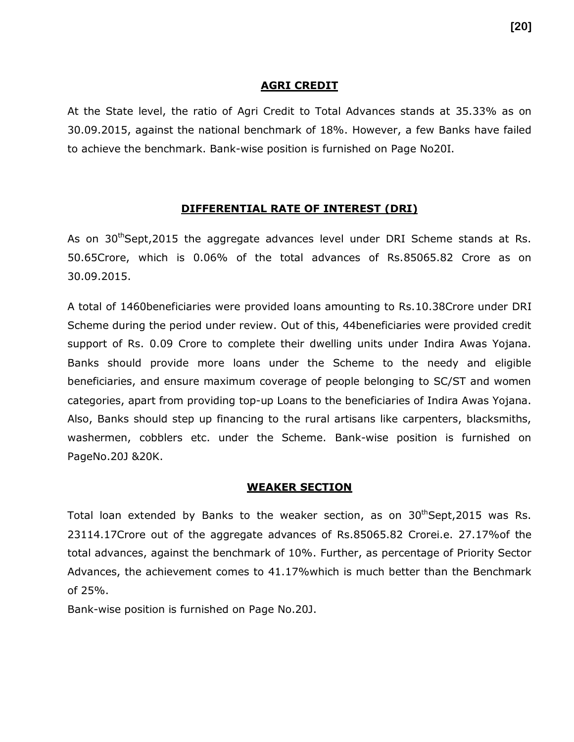#### **AGRI CREDIT**

At the State level, the ratio of Agri Credit to Total Advances stands at 35.33% as on 30.09.2015, against the national benchmark of 18%. However, a few Banks have failed to achieve the benchmark. Bank-wise position is furnished on Page No20I.

#### **DIFFERENTIAL RATE OF INTEREST (DRI)**

As on 30<sup>th</sup>Sept,2015 the aggregate advances level under DRI Scheme stands at Rs. 50.65Crore, which is 0.06% of the total advances of Rs.85065.82 Crore as on 30.09.2015.

A total of 1460beneficiaries were provided loans amounting to Rs.10.38Crore under DRI Scheme during the period under review. Out of this, 44beneficiaries were provided credit support of Rs. 0.09 Crore to complete their dwelling units under Indira Awas Yojana. Banks should provide more loans under the Scheme to the needy and eligible beneficiaries, and ensure maximum coverage of people belonging to SC/ST and women categories, apart from providing top-up Loans to the beneficiaries of Indira Awas Yojana. Also, Banks should step up financing to the rural artisans like carpenters, blacksmiths, washermen, cobblers etc. under the Scheme. Bank-wise position is furnished on PageNo.20J &20K.

#### **WEAKER SECTION**

Total loan extended by Banks to the weaker section, as on  $30<sup>th</sup>$ Sept,2015 was Rs. 23114.17Crore out of the aggregate advances of Rs.85065.82 Crorei.e. 27.17%of the total advances, against the benchmark of 10%. Further, as percentage of Priority Sector Advances, the achievement comes to 41.17%which is much better than the Benchmark of 25%.

Bank-wise position is furnished on Page No.20J.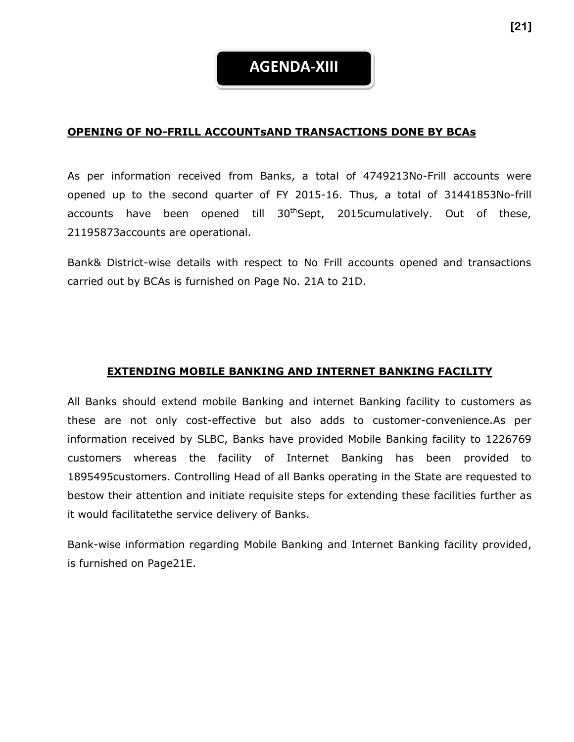#### **OPENING OF NO-FRILL ACCOUNTsAND TRANSACTIONS DONE BY BCAs**

As per information received from Banks, a total of 4749213No-Frill accounts were opened up to the second quarter of FY 2015-16. Thus, a total of 31441853No-frill accounts have been opened till 30<sup>th</sup>Sept, 2015cumulatively. Out of these, 21195873accounts are operational.

Bank& District-wise details with respect to No Frill accounts opened and transactions carried out by BCAs is furnished on Page No. 21A to 21D.

#### **EXTENDING MOBILE BANKING AND INTERNET BANKING FACILITY**

All Banks should extend mobile Banking and internet Banking facility to customers as these are not only cost-effective but also adds to customer-convenience.As per information received by SLBC, Banks have provided Mobile Banking facility to 1226769 customers whereas the facility of Internet Banking has been provided to 1895495customers. Controlling Head of all Banks operating in the State are requested to bestow their attention and initiate requisite steps for extending these facilities further as it would facilitatethe service delivery of Banks.

Bank-wise information regarding Mobile Banking and Internet Banking facility provided, is furnished on Page21E.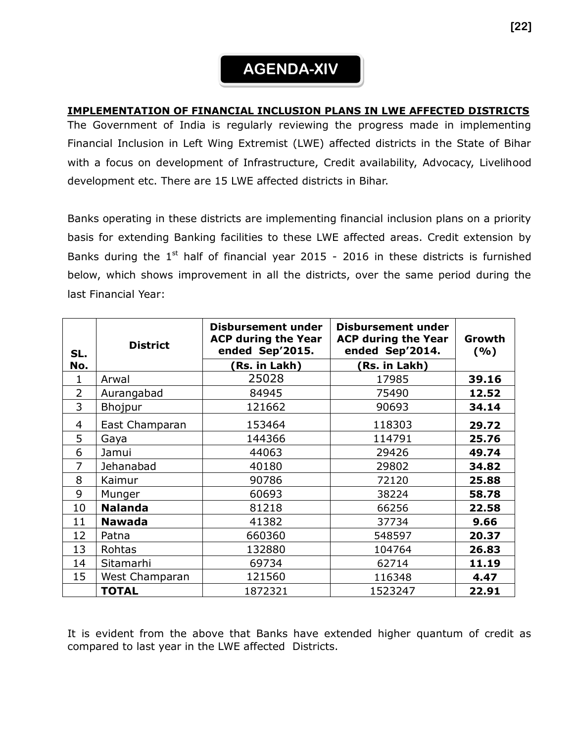## **AGENDA-XIV**

#### **IMPLEMENTATION OF FINANCIAL INCLUSION PLANS IN LWE AFFECTED DISTRICTS**

The Government of India is regularly reviewing the progress made in implementing Financial Inclusion in Left Wing Extremist (LWE) affected districts in the State of Bihar with a focus on development of Infrastructure, Credit availability, Advocacy, Livelihood development etc. There are 15 LWE affected districts in Bihar.

Banks operating in these districts are implementing financial inclusion plans on a priority basis for extending Banking facilities to these LWE affected areas. Credit extension by Banks during the  $1<sup>st</sup>$  half of financial year 2015 - 2016 in these districts is furnished below, which shows improvement in all the districts, over the same period during the last Financial Year:

| SL.<br>No.     | <b>District</b> | <b>Disbursement under</b><br><b>ACP during the Year</b><br>ended Sep'2015.<br>(Rs. in Lakh) | <b>Disbursement under</b><br><b>ACP during the Year</b><br>ended Sep'2014.<br>Rs. in Lakh) | Growth<br>(%) |
|----------------|-----------------|---------------------------------------------------------------------------------------------|--------------------------------------------------------------------------------------------|---------------|
| 1              | Arwal           | 25028                                                                                       | 17985                                                                                      | 39.16         |
| $\overline{2}$ | Aurangabad      | 84945                                                                                       | 75490                                                                                      | 12.52         |
| 3              | Bhojpur         | 121662                                                                                      | 90693                                                                                      | 34.14         |
| 4              | East Champaran  | 153464                                                                                      | 118303                                                                                     | 29.72         |
| 5              | Gaya            | 144366                                                                                      | 114791                                                                                     | 25.76         |
| 6              | Jamui           | 44063                                                                                       | 29426                                                                                      | 49.74         |
| 7              | Jehanabad       | 40180                                                                                       | 29802                                                                                      | 34.82         |
| 8              | Kaimur          | 90786                                                                                       | 72120                                                                                      | 25.88         |
| 9              | Munger          | 60693                                                                                       | 38224                                                                                      | 58.78         |
| 10             | <b>Nalanda</b>  | 81218                                                                                       | 66256                                                                                      | 22.58         |
| 11             | <b>Nawada</b>   | 41382                                                                                       | 37734                                                                                      | 9.66          |
| 12             | Patna           | 660360                                                                                      | 548597                                                                                     | 20.37         |
| 13             | Rohtas          | 132880                                                                                      | 104764                                                                                     | 26.83         |
| 14             | Sitamarhi       | 69734                                                                                       | 62714                                                                                      | 11.19         |
| 15             | West Champaran  | 121560                                                                                      | 116348                                                                                     | 4.47          |
|                | <b>TOTAL</b>    | 1872321                                                                                     | 1523247                                                                                    | 22.91         |

It is evident from the above that Banks have extended higher quantum of credit as compared to last year in the LWE affected Districts.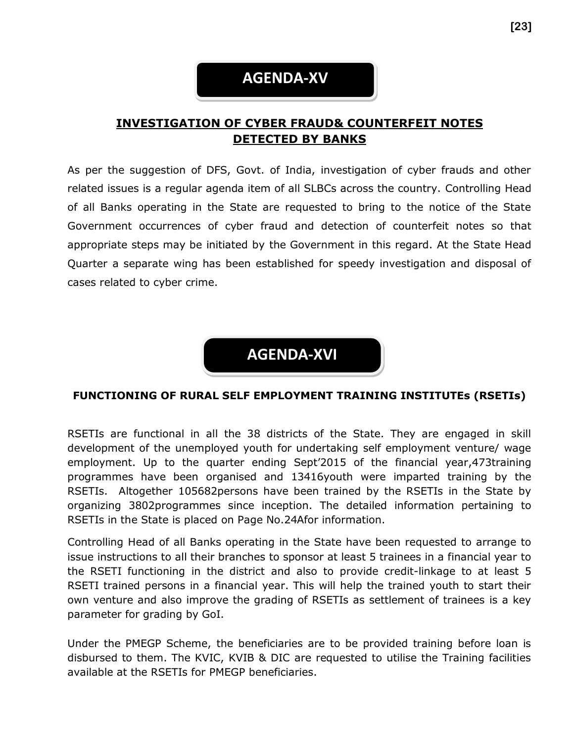## **AGENDA-XV**

## **INVESTIGATION OF CYBER FRAUD& COUNTERFEIT NOTES DETECTED BY BANKS**

As per the suggestion of DFS, Govt. of India, investigation of cyber frauds and other related issues is a regular agenda item of all SLBCs across the country. Controlling Head of all Banks operating in the State are requested to bring to the notice of the State Government occurrences of cyber fraud and detection of counterfeit notes so that appropriate steps may be initiated by the Government in this regard. At the State Head Quarter a separate wing has been established for speedy investigation and disposal of cases related to cyber crime.

**AGENDA-XVI**

#### **FUNCTIONING OF RURAL SELF EMPLOYMENT TRAINING INSTITUTEs (RSETIs)**

RSETIs are functional in all the 38 districts of the State. They are engaged in skill development of the unemployed youth for undertaking self employment venture/ wage employment. Up to the quarter ending Sept'2015 of the financial year,473training programmes have been organised and 13416youth were imparted training by the RSETIs. Altogether 105682persons have been trained by the RSETIs in the State by organizing 3802programmes since inception. The detailed information pertaining to RSETIs in the State is placed on Page No.24Afor information.

Controlling Head of all Banks operating in the State have been requested to arrange to issue instructions to all their branches to sponsor at least 5 trainees in a financial year to the RSETI functioning in the district and also to provide credit-linkage to at least 5 RSETI trained persons in a financial year. This will help the trained youth to start their own venture and also improve the grading of RSETIs as settlement of trainees is a key parameter for grading by GoI.

Under the PMEGP Scheme, the beneficiaries are to be provided training before loan is disbursed to them. The KVIC, KVIB & DIC are requested to utilise the Training facilities available at the RSETIs for PMEGP beneficiaries.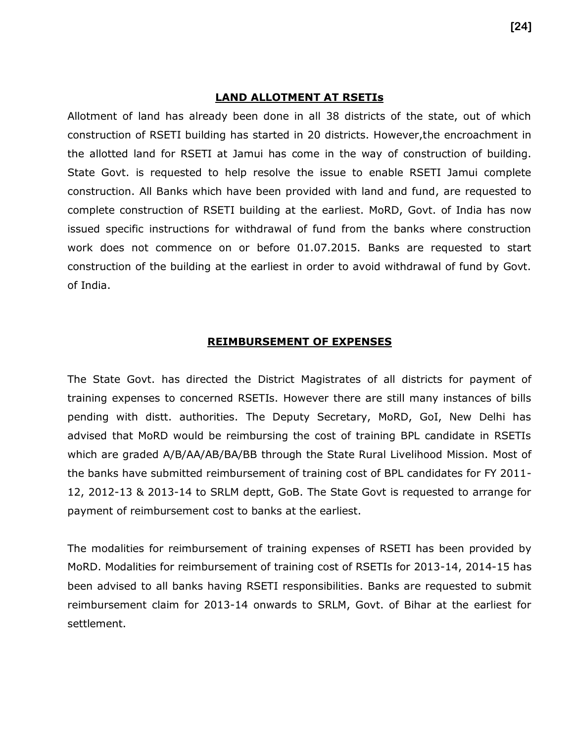#### **LAND ALLOTMENT AT RSETIs**

Allotment of land has already been done in all 38 districts of the state, out of which construction of RSETI building has started in 20 districts. However,the encroachment in the allotted land for RSETI at Jamui has come in the way of construction of building. State Govt. is requested to help resolve the issue to enable RSETI Jamui complete construction. All Banks which have been provided with land and fund, are requested to complete construction of RSETI building at the earliest. MoRD, Govt. of India has now issued specific instructions for withdrawal of fund from the banks where construction work does not commence on or before 01.07.2015. Banks are requested to start construction of the building at the earliest in order to avoid withdrawal of fund by Govt. of India.

#### **REIMBURSEMENT OF EXPENSES**

The State Govt. has directed the District Magistrates of all districts for payment of training expenses to concerned RSETIs. However there are still many instances of bills pending with distt. authorities. The Deputy Secretary, MoRD, GoI, New Delhi has advised that MoRD would be reimbursing the cost of training BPL candidate in RSETIs which are graded A/B/AA/AB/BA/BB through the State Rural Livelihood Mission. Most of the banks have submitted reimbursement of training cost of BPL candidates for FY 2011- 12, 2012-13 & 2013-14 to SRLM deptt, GoB. The State Govt is requested to arrange for payment of reimbursement cost to banks at the earliest.

The modalities for reimbursement of training expenses of RSETI has been provided by MoRD. Modalities for reimbursement of training cost of RSETIs for 2013-14, 2014-15 has been advised to all banks having RSETI responsibilities. Banks are requested to submit reimbursement claim for 2013-14 onwards to SRLM, Govt. of Bihar at the earliest for settlement.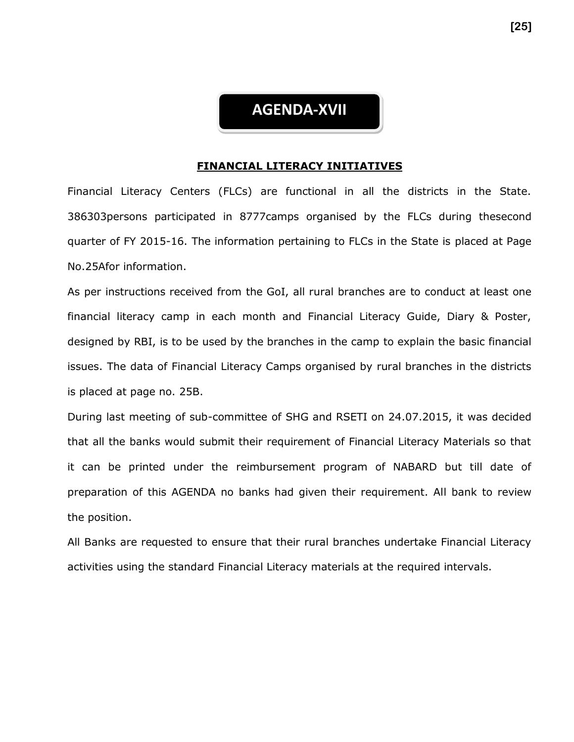## **AGENDA-XVII**

#### **FINANCIAL LITERACY INITIATIVES**

Financial Literacy Centers (FLCs) are functional in all the districts in the State. 386303persons participated in 8777camps organised by the FLCs during thesecond quarter of FY 2015-16. The information pertaining to FLCs in the State is placed at Page No.25Afor information.

As per instructions received from the GoI, all rural branches are to conduct at least one financial literacy camp in each month and Financial Literacy Guide, Diary & Poster, designed by RBI, is to be used by the branches in the camp to explain the basic financial issues. The data of Financial Literacy Camps organised by rural branches in the districts is placed at page no. 25B.

During last meeting of sub-committee of SHG and RSETI on 24.07.2015, it was decided that all the banks would submit their requirement of Financial Literacy Materials so that it can be printed under the reimbursement program of NABARD but till date of preparation of this AGENDA no banks had given their requirement. All bank to review the position.

All Banks are requested to ensure that their rural branches undertake Financial Literacy activities using the standard Financial Literacy materials at the required intervals.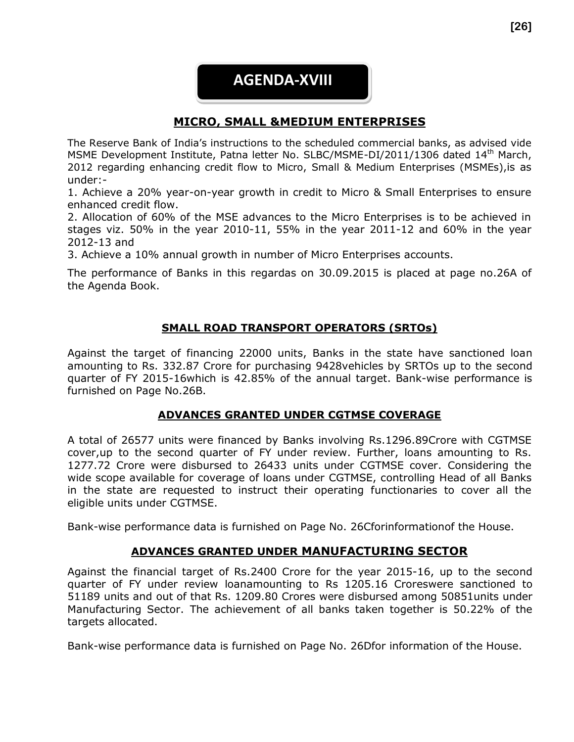## **AGENDA-XVIII**

### **MICRO, SMALL &MEDIUM ENTERPRISES**

The Reserve Bank of India's instructions to the scheduled commercial banks, as advised vide MSME Development Institute, Patna letter No. SLBC/MSME-DI/2011/1306 dated 14<sup>th</sup> March, 2012 regarding enhancing credit flow to Micro, Small & Medium Enterprises (MSMEs),is as under:-

1. Achieve a 20% year-on-year growth in credit to Micro & Small Enterprises to ensure enhanced credit flow.

2. Allocation of 60% of the MSE advances to the Micro Enterprises is to be achieved in stages viz. 50% in the year 2010-11, 55% in the year 2011-12 and 60% in the year 2012-13 and

3. Achieve a 10% annual growth in number of Micro Enterprises accounts.

The performance of Banks in this regardas on 30.09.2015 is placed at page no.26A of the Agenda Book.

#### **SMALL ROAD TRANSPORT OPERATORS (SRTOs)**

Against the target of financing 22000 units, Banks in the state have sanctioned loan amounting to Rs. 332.87 Crore for purchasing 9428vehicles by SRTOs up to the second quarter of FY 2015-16which is 42.85% of the annual target. Bank-wise performance is furnished on Page No.26B.

#### **ADVANCES GRANTED UNDER CGTMSE COVERAGE**

A total of 26577 units were financed by Banks involving Rs.1296.89Crore with CGTMSE cover,up to the second quarter of FY under review. Further, loans amounting to Rs. 1277.72 Crore were disbursed to 26433 units under CGTMSE cover. Considering the wide scope available for coverage of loans under CGTMSE, controlling Head of all Banks in the state are requested to instruct their operating functionaries to cover all the eligible units under CGTMSE.

Bank-wise performance data is furnished on Page No. 26Cforinformationof the House.

#### **ADVANCES GRANTED UNDER MANUFACTURING SECTOR**

Against the financial target of Rs.2400 Crore for the year 2015-16, up to the second quarter of FY under review loanamounting to Rs 1205.16 Croreswere sanctioned to 51189 units and out of that Rs. 1209.80 Crores were disbursed among 50851units under Manufacturing Sector. The achievement of all banks taken together is 50.22% of the targets allocated.

Bank-wise performance data is furnished on Page No. 26Dfor information of the House.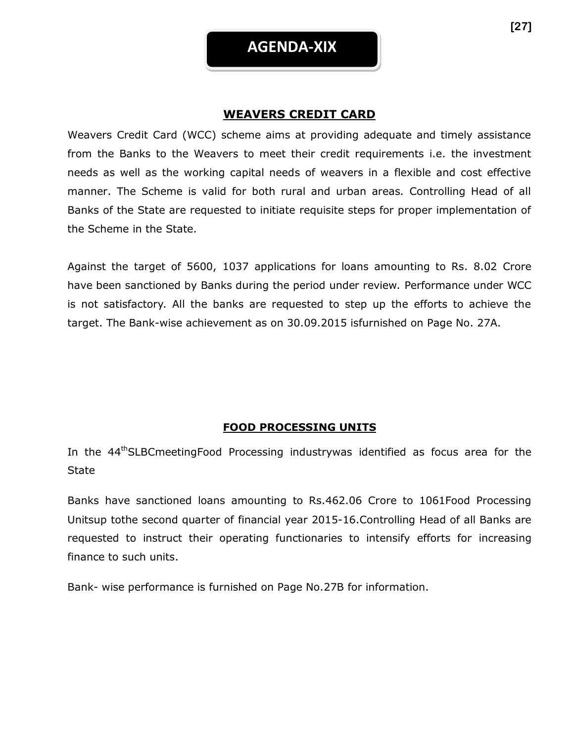#### **WEAVERS CREDIT CARD**

Weavers Credit Card (WCC) scheme aims at providing adequate and timely assistance from the Banks to the Weavers to meet their credit requirements i.e. the investment needs as well as the working capital needs of weavers in a flexible and cost effective manner. The Scheme is valid for both rural and urban areas. Controlling Head of all Banks of the State are requested to initiate requisite steps for proper implementation of the Scheme in the State.

Against the target of 5600, 1037 applications for loans amounting to Rs. 8.02 Crore have been sanctioned by Banks during the period under review. Performance under WCC is not satisfactory. All the banks are requested to step up the efforts to achieve the target. The Bank-wise achievement as on 30.09.2015 isfurnished on Page No. 27A.

#### **FOOD PROCESSING UNITS**

In the 44<sup>th</sup>SLBCmeetingFood Processing industrywas identified as focus area for the **State** 

Banks have sanctioned loans amounting to Rs.462.06 Crore to 1061Food Processing Unitsup tothe second quarter of financial year 2015-16.Controlling Head of all Banks are requested to instruct their operating functionaries to intensify efforts for increasing finance to such units.

Bank- wise performance is furnished on Page No.27B for information.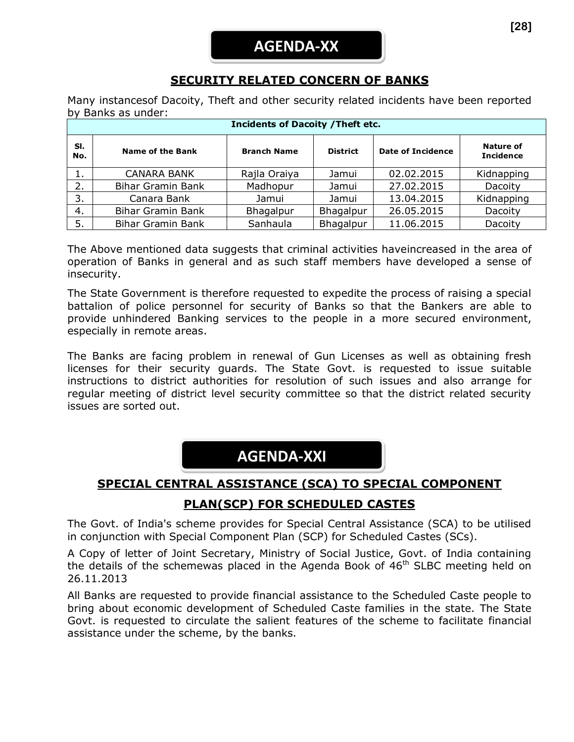## **SECURITY RELATED CONCERN OF BANKS**

Many instancesof Dacoity, Theft and other security related incidents have been reported by Banks as under:

| <b>Incidents of Dacoity / Theft etc.</b> |                          |                    |                 |                          |                                      |  |  |
|------------------------------------------|--------------------------|--------------------|-----------------|--------------------------|--------------------------------------|--|--|
| SI.<br>No.                               | <b>Name of the Bank</b>  | <b>Branch Name</b> | <b>District</b> | <b>Date of Incidence</b> | <b>Nature of</b><br><b>Incidence</b> |  |  |
| 1.                                       | <b>CANARA BANK</b>       | Rajla Oraiya       | Jamui           | 02.02.2015               | Kidnapping                           |  |  |
| 2.                                       | <b>Bihar Gramin Bank</b> | Madhopur           | Jamui           | 27.02.2015               | Dacoity                              |  |  |
| 3.                                       | Canara Bank              | Jamui              | Jamui           | 13.04.2015               | Kidnapping                           |  |  |
| 4.                                       | <b>Bihar Gramin Bank</b> | Bhagalpur          | Bhagalpur       | 26.05.2015               | Dacoity                              |  |  |
| 5.                                       | <b>Bihar Gramin Bank</b> | Sanhaula           | Bhagalpur       | 11.06.2015               | Dacoity                              |  |  |

The Above mentioned data suggests that criminal activities haveincreased in the area of operation of Banks in general and as such staff members have developed a sense of insecurity.

The State Government is therefore requested to expedite the process of raising a special battalion of police personnel for security of Banks so that the Bankers are able to provide unhindered Banking services to the people in a more secured environment, especially in remote areas.

The Banks are facing problem in renewal of Gun Licenses as well as obtaining fresh licenses for their security guards. The State Govt. is requested to issue suitable instructions to district authorities for resolution of such issues and also arrange for regular meeting of district level security committee so that the district related security issues are sorted out.

## **AGENDA-XXI**

## **SPECIAL CENTRAL ASSISTANCE (SCA) TO SPECIAL COMPONENT**

## **PLAN(SCP) FOR SCHEDULED CASTES**

The Govt. of India's scheme provides for Special Central Assistance (SCA) to be utilised in conjunction with Special Component Plan (SCP) for Scheduled Castes (SCs).

A Copy of letter of Joint Secretary, Ministry of Social Justice, Govt. of India containing the details of the schemewas placed in the Agenda Book of  $46<sup>th</sup>$  SLBC meeting held on 26.11.2013

All Banks are requested to provide financial assistance to the Scheduled Caste people to bring about economic development of Scheduled Caste families in the state. The State Govt. is requested to circulate the salient features of the scheme to facilitate financial assistance under the scheme, by the banks.